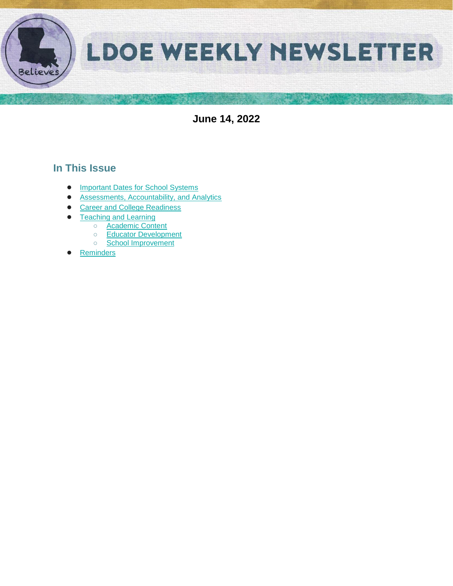

**June 14, 2022**

# **In This Issue**

- [Important Dates for School Systems](#page-1-0)
- [Assessments, Accountability, and Analytics](#page-2-0)
- [Career and College Readiness](#page-4-0)
- **[Teaching and Learning](#page-5-0)** 
	- [Academic Content](#page-5-1)
	- [Educator Development](#page-5-2)
	- [School Improvement](#page-9-0)
- **Reminders**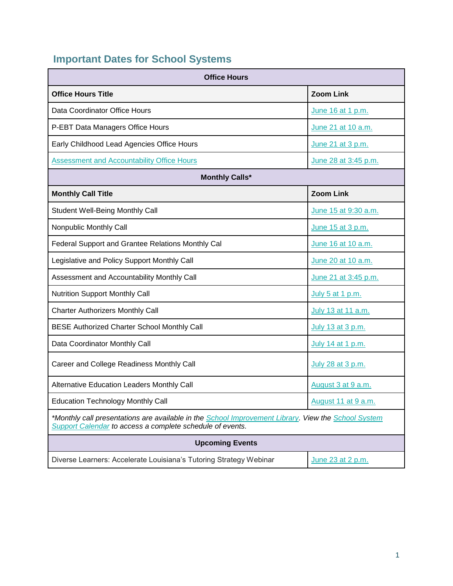# <span id="page-1-0"></span>**Important Dates for School Systems**

| <b>Office Hours</b>                                                                                                                                              |                      |  |  |
|------------------------------------------------------------------------------------------------------------------------------------------------------------------|----------------------|--|--|
| <b>Office Hours Title</b>                                                                                                                                        | <b>Zoom Link</b>     |  |  |
| Data Coordinator Office Hours                                                                                                                                    | June 16 at 1 p.m.    |  |  |
| P-EBT Data Managers Office Hours                                                                                                                                 | June 21 at 10 a.m.   |  |  |
| Early Childhood Lead Agencies Office Hours<br>June 21 at 3 p.m.                                                                                                  |                      |  |  |
| <b>Assessment and Accountability Office Hours</b>                                                                                                                | June 28 at 3:45 p.m. |  |  |
| <b>Monthly Calls*</b>                                                                                                                                            |                      |  |  |
| <b>Monthly Call Title</b>                                                                                                                                        | <b>Zoom Link</b>     |  |  |
| <b>Student Well-Being Monthly Call</b>                                                                                                                           | June 15 at 9:30 a.m. |  |  |
| Nonpublic Monthly Call                                                                                                                                           | June 15 at 3 p.m.    |  |  |
| Federal Support and Grantee Relations Monthly Cal                                                                                                                | June 16 at 10 a.m.   |  |  |
| Legislative and Policy Support Monthly Call                                                                                                                      | June 20 at 10 a.m.   |  |  |
| Assessment and Accountability Monthly Call                                                                                                                       | June 21 at 3:45 p.m. |  |  |
| <b>Nutrition Support Monthly Call</b>                                                                                                                            | July 5 at 1 p.m.     |  |  |
| <b>Charter Authorizers Monthly Call</b>                                                                                                                          | July 13 at 11 a.m.   |  |  |
| BESE Authorized Charter School Monthly Call<br>July 13 at 3 p.m.                                                                                                 |                      |  |  |
| Data Coordinator Monthly Call                                                                                                                                    | July 14 at 1 p.m.    |  |  |
| Career and College Readiness Monthly Call                                                                                                                        | July 28 at 3 p.m.    |  |  |
| Alternative Education Leaders Monthly Call                                                                                                                       | August 3 at 9 a.m.   |  |  |
| <b>Education Technology Monthly Call</b>                                                                                                                         | August 11 at 9 a.m.  |  |  |
| *Monthly call presentations are available in the School Improvement Library. View the School System<br>Support Calendar to access a complete schedule of events. |                      |  |  |
| <b>Upcoming Events</b>                                                                                                                                           |                      |  |  |
| Diverse Learners: Accelerate Louisiana's Tutoring Strategy Webinar                                                                                               | June 23 at 2 p.m.    |  |  |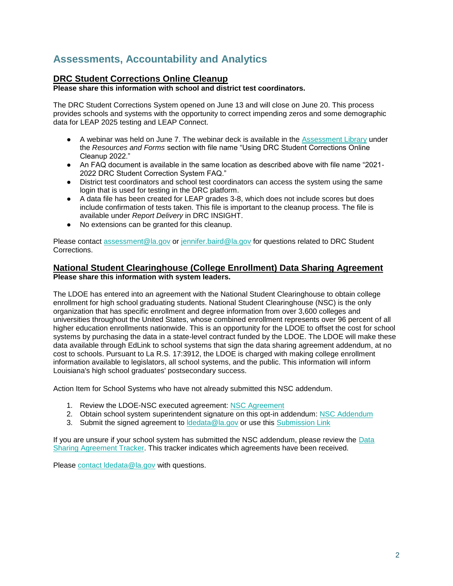# <span id="page-2-0"></span>**Assessments, Accountability and Analytics**

## **DRC Student Corrections Online Cleanup**

**Please share this information with school and district test coordinators.**

The DRC Student Corrections System opened on June 13 and will close on June 20. This process provides schools and systems with the opportunity to correct impending zeros and some demographic data for LEAP 2025 testing and LEAP Connect.

- A webinar was held on June 7. The webinar deck is available in the [Assessment Library](https://www.louisianabelieves.com/resources/library/assessment) under the *Resources and Forms* section with file name "Using DRC Student Corrections Online Cleanup 2022."
- An FAQ document is available in the same location as described above with file name "2021- 2022 DRC Student Correction System FAQ."
- District test coordinators and school test coordinators can access the system using the same login that is used for testing in the DRC platform.
- A data file has been created for LEAP grades 3-8, which does not include scores but does include confirmation of tests taken. This file is important to the cleanup process. The file is available under *Report Delivery* in DRC INSIGHT.
- No extensions can be granted for this cleanup.

Please contact [assessment@la.gov](mailto:assessment@la.gov) or [jennifer.baird@la.gov](mailto:jennifer.baird@la.gov) for questions related to DRC Student Corrections.

## **National Student Clearinghouse (College Enrollment) Data Sharing Agreement Please share this information with system leaders.**

The LDOE has entered into an agreement with the National Student Clearinghouse to obtain college enrollment for high school graduating students. National Student Clearinghouse (NSC) is the only organization that has specific enrollment and degree information from over 3,600 colleges and universities throughout the United States, whose combined enrollment represents over 96 percent of all higher education enrollments nationwide. This is an opportunity for the LDOE to offset the cost for school systems by purchasing the data in a state-level contract funded by the LDOE. The LDOE will make these data available through EdLink to school systems that sign the data sharing agreement addendum, at no cost to schools. Pursuant to La R.S. 17:3912, the LDOE is charged with making college enrollment information available to legislators, all school systems, and the public. This information will inform Louisiana's high school graduates' postsecondary success.

Action Item for School Systems who have not already submitted this NSC addendum.

- 1. Review the LDOE-NSC executed agreement[:](https://urldefense.proofpoint.com/v2/url?u=https-3A__www.louisianabelieves.com_docs_default-2Dsource_data-2Dmanagement_national-2Dstudent-2Dclearinghouse-2D-2D-2D2022.pdf-3Fsfvrsn-3D7386518-5F2&d=DwMGaQ&c=xlPCXuHzMdaH2Flc1sgyicYpGQbQbU9KDEmgNF3_wI0&r=tfo0-czka-P8BMN0du3dPA&m=uadRfWRlT6LHVvjLybWdt1j7f2AnqAWd5f_plPO3irE&s=7KP7-ieeoXBHU_TwGcvZh7kMxAKbfvv5FLqmFebCAa0&e=) [NSC Agreement](https://urldefense.proofpoint.com/v2/url?u=https-3A__www.louisianabelieves.com_docs_default-2Dsource_data-2Dmanagement_national-2Dstudent-2Dclearinghouse-2D-2D-2D2022.pdf-3Fsfvrsn-3D7386518-5F2&d=DwMGaQ&c=xlPCXuHzMdaH2Flc1sgyicYpGQbQbU9KDEmgNF3_wI0&r=tfo0-czka-P8BMN0du3dPA&m=uadRfWRlT6LHVvjLybWdt1j7f2AnqAWd5f_plPO3irE&s=7KP7-ieeoXBHU_TwGcvZh7kMxAKbfvv5FLqmFebCAa0&e=)
- 2. Obtain school system superintendent signature on this opt-in addendum[:](https://www.louisianabelieves.com/docs/default-source/data-management/national-student-clearinghouse-(2022)---addendum.docx?sfvrsn=fa386518_2) [NSC Addendum](https://www.louisianabelieves.com/docs/default-source/data-management/national-student-clearinghouse-(2022)---addendum.docx?sfvrsn=fa386518_2)
- 3. Submit the [s](https://form.jotform.com/220685140413144)igned agreement to Idedata@la.gov or use this [Submission Link](https://form.jotform.com/220685140413144)

If you are unsure if your school system has submitted the NSC addendum, please review th[e](https://datastudio.google.com/u/0/reporting/1arwh3223YKsaV7xjbgEJSf0uymYALvUH/page/ija3?params=%7B%22df2%22:%22include%25EE%2580%25800%25EE%2580%2580IN%25EE%2580%2580002%22%7D) [Data](https://datastudio.google.com/u/0/reporting/1arwh3223YKsaV7xjbgEJSf0uymYALvUH/page/ija3?params=%7B%22df2%22:%22include%25EE%2580%25800%25EE%2580%2580IN%25EE%2580%2580002%22%7D)  [Sharing Agreement Tracker.](https://datastudio.google.com/u/0/reporting/1arwh3223YKsaV7xjbgEJSf0uymYALvUH/page/ija3?params=%7B%22df2%22:%22include%25EE%2580%25800%25EE%2580%2580IN%25EE%2580%2580002%22%7D) This tracker indicates which agreements have been received.

Please [contact ldedata@la.gov](mailto:ldedata@la.gov) with questions.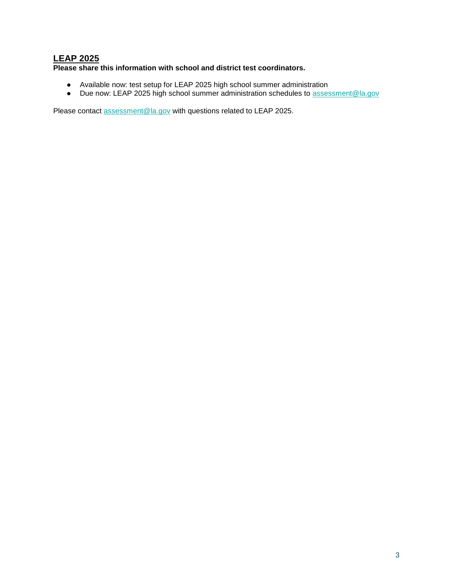## **LEAP 2025**

## **Please share this information with school and district test coordinators.**

- Available now: test setup for LEAP 2025 high school summer administration
- Due now: LEAP 2025 high school summer administration schedules to [assessment@la.gov](mailto:assessment@la.gov)

Please contact [assessment@la.gov](mailto:assessment@la.gov) with questions related to LEAP 2025.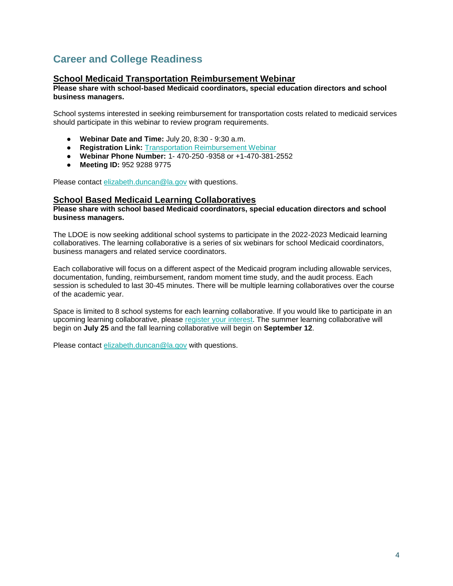# <span id="page-4-0"></span>**Career and College Readiness**

## **School Medicaid Transportation Reimbursement Webinar**

#### **Please share with school-based Medicaid coordinators, special education directors and school business managers.**

School systems interested in seeking reimbursement for transportation costs related to medicaid services should participate in this webinar to review program requirements.

- **Webinar Date and Time:** July 20, 8:30 9:30 a.m.
- **Registration Link:** [Transportation Reimbursement Webinar](https://ldoe.zoom.us/j/95292889775?pwd=Yjk3elUvcWtCR2RIWkdLRGlsZ3ZaQT09)
- **Webinar Phone Number:** 1- 470-250 -9358 or +1-470-381-2552
- **Meeting ID:** 952 9288 9775

Please contact [elizabeth.duncan@la.gov](mailto:elizabeth.duncan@la.gov) with questions.

## **School Based Medicaid Learning Collaboratives**

**Please share with school based Medicaid coordinators, special education directors and school business managers.**

The LDOE is now seeking additional school systems to participate in the 2022-2023 Medicaid learning collaboratives. The learning collaborative is a series of six webinars for school Medicaid coordinators, business managers and related service coordinators.

Each collaborative will focus on a different aspect of the Medicaid program including allowable services, documentation, funding, reimbursement, random moment time study, and the audit process. Each session is scheduled to last 30-45 minutes. There will be multiple learning collaboratives over the course of the academic year.

Space is limited to 8 school systems for each learning collaborative. If you would like to participate in an upcoming learning collaborative, please [register your interest.](https://forms.gle/YiB95v7nCYKkGU2QA) The summer learning collaborative will begin on **July 25** and the fall learning collaborative will begin on **September 12**.

Please contact [elizabeth.duncan@la.gov](mailto:elizabeth.duncan@la.gov) with questions.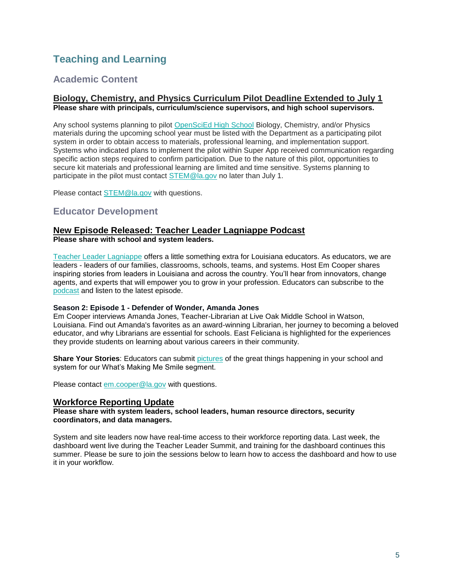# <span id="page-5-0"></span>**Teaching and Learning**

## <span id="page-5-1"></span>**Academic Content**

### **Biology, Chemistry, and Physics Curriculum Pilot Deadline Extended to July 1 Please share with principals, curriculum/science supervisors, and high school supervisors.**

Any school systems planning to pilot [OpenSciEd High School](https://www.louisianabelieves.com/docs/default-source/year-long-planning/openscied-high-school-pilot.pdf) Biology, Chemistry, and/or Physics materials during the upcoming school year must be listed with the Department as a participating pilot system in order to obtain access to materials, professional learning, and implementation support. Systems who indicated plans to implement the pilot within Super App received communication regarding specific action steps required to confirm participation. Due to the nature of this pilot, opportunities to secure kit materials and professional learning are limited and time sensitive. Systems planning to participate in the pilot must contact [STEM@la.gov](mailto:STEM@la.gov) no later than July 1.

Please contact [STEM@la.gov](mailto:STEM@la.gov) with questions.

## <span id="page-5-2"></span>**Educator Development**

#### **New Episode Released: Teacher Leader Lagniappe Podcast Please share with school and system leaders.**

Teacher Leader Lagniappe offers a little something extra for Louisiana educators. As educators, we are leaders - leaders of our families, classrooms, schools, teams, and systems. Host Em Cooper shares inspiring stories from leaders in Louisiana and across the country. You'll hear from innovators, change agents, and experts that will empower you to grow in your profession. Educators can subscribe to th[e](https://www.buzzsprout.com/1804579) [podcast](https://www.buzzsprout.com/1804579) and listen to the latest episode.

#### **Season 2: Episode 1 - Defender of Wonder, Amanda Jones**

Em Cooper interviews Amanda Jones, Teacher-Librarian at Live Oak Middle School in Watson, Louisiana. Find out Amanda's favorites as an award-winning Librarian, her journey to becoming a beloved educator, and why Librarians are essential for schools. East Feliciana is highlighted for the experiences they provide students on learning about various careers in their community.

**Share Your Stories**: Educators can submit [pictures](https://www.louisianabelieves.com/podcast) of the great things happening in your school and system for our What's Making Me Smile segment.

Please contact [em.cooper@la.gov](mailto:em.cooper@la.gov) with questions.

### **Workforce Reporting Update**

**Please share with system leaders, school leaders, human resource directors, security coordinators, and data managers.**

System and site leaders now have real-time access to their workforce reporting data. Last week, the dashboard went live during the Teacher Leader Summit, and training for the dashboard continues this summer. Please be sure to join the sessions below to learn how to access the dashboard and how to use it in your workflow.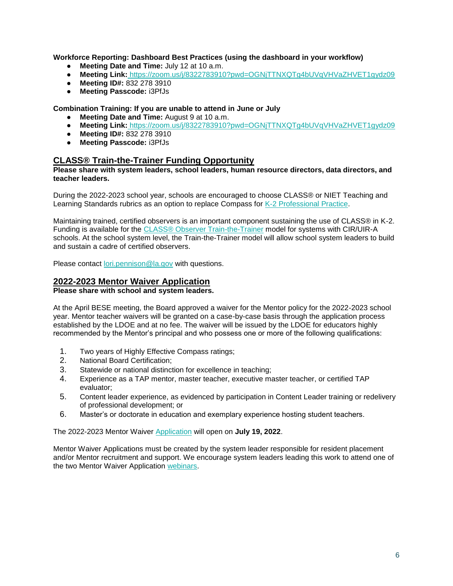**Workforce Reporting: Dashboard Best Practices (using the dashboard in your workflow)**

- **Meeting Date and Time:** July 12 at 10 a.m.
- **Meeting Link: https://zoom.us/j/8322783910?pwd=OGNiTTNXQTq4bUVqVHVaZHVET1qvdz09**
- **Meeting ID#:** 832 278 3910
- **Meeting Passcode:** i3PfJs

**Combination Training: If you are unable to attend in June or July**

- **Meeting Date and Time:** August 9 at 10 a.m.
- **Meeting Link:** <https://zoom.us/j/8322783910?pwd=OGNjTTNXQTg4bUVqVHVaZHVET1gydz09>
- **Meeting ID#:** 832 278 3910
- **Meeting Passcode:** i3PfJs

## **CLASS® Train-the-Trainer Funding Opportunity**

#### **Please share with system leaders, school leaders, human resource directors, data directors, and teacher leaders.**

During the 2022-2023 school year, schools are encouraged to choose CLASS® or NIET Teaching and Learning Standards rubrics as an option to replace Compass for [K-2 Professional Practice.](https://www.louisianabelieves.com/docs/default-source/key-compass-resources/2022-2023-k-2-teacher-professional-practice.pdf?sfvrsn=96126518_4)

Maintaining trained, certified observers is an important component sustaining the use of CLASS® in K-2. Funding is available for the [CLASS® Observer Train-the-Trainer](https://www.louisianabelieves.com/docs/default-source/key-compass-resources/k-2-class-ttt-funding-opportunity_-spring-2022.pdf?sfvrsn=95126518_4) model for systems with CIR/UIR-A schools. At the school system level, the Train-the-Trainer model will allow school system leaders to build and sustain a cadre of certified observers.

Please contact [lori.pennison@la.gov](mailto:lori.pennison@la.gov) with questions.

## **2022-2023 Mentor Waiver Application**

#### **Please share with school and system leaders.**

At the April BESE meeting, the Board approved a waiver for the Mentor policy for the 2022-2023 school year. Mentor teacher waivers will be granted on a case-by-case basis through the application process established by the LDOE and at no fee. The waiver will be issued by the LDOE for educators highly recommended by the Mentor's principal and who possess one or more of the following qualifications:

- 1. Two years of Highly Effective Compass ratings;
- 2. National Board Certification;
- 3. Statewide or national distinction for excellence in teaching;
- 4. Experience as a TAP mentor, master teacher, executive master teacher, or certified TAP evaluator;
- 5. Content leader experience, as evidenced by participation in Content Leader training or redelivery of professional development; or
- 6. Master's or doctorate in education and exemplary experience hosting student teachers.

The 2022-2023 Mentor Waiver [Application](https://louisianabelieves.smapply.io/prog/) will open on **July 19, 2022**.

Mentor Waiver Applications must be created by the system leader responsible for resident placement and/or Mentor recruitment and support. We encourage system leaders leading this work to attend one of the two Mentor Waiver Application [webinars.](https://ldoe.zoom.us/j/3455048179)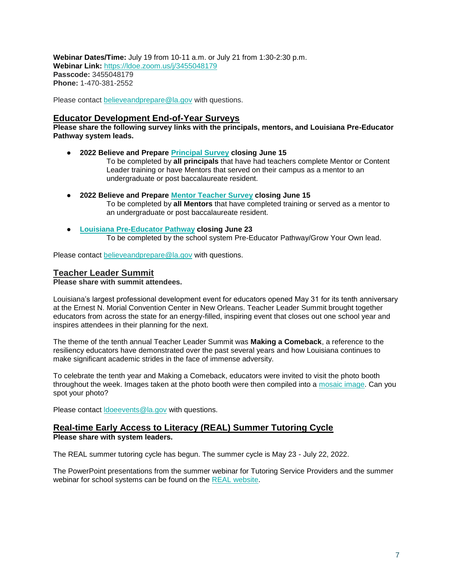**Webinar Dates/Time:** July 19 from 10-11 a.m. or July 21 from 1:30-2:30 p.m. **Webinar Link:** <https://ldoe.zoom.us/j/3455048179> **Passcode:** 3455048179 **Phone:** 1-470-381-2552

Please contact [believeandprepare@la.gov](mailto:believeandprepare@la.gov) with questions.

## **Educator Development End-of-Year Surveys**

**Please share the following survey links with the principals, mentors, and Louisiana Pre-Educator Pathway system leads.** 

- **2022 Believe and Prepare [Principal Survey](https://form.jotform.com/221314340045137) closing June 15** To be completed by **all principals** that have had teachers complete Mentor or Content Leader training or have Mentors that served on their campus as a mentor to an undergraduate or post baccalaureate resident.
- **2022 Believe and Prepare [Mentor Teacher Survey](https://form.jotform.com/221314653046145) closing June 15** To be completed by **all Mentors** that have completed training or served as a mentor to an undergraduate or post baccalaureate resident.
- **[Louisiana Pre-Educator Pathway](https://form.jotform.com/221244804572048) closing June 23** To be completed by the school system Pre-Educator Pathway/Grow Your Own lead.

Please contact [believeandprepare@la.gov](mailto:believeandprepare@la.gov) with questions.

#### **Teacher Leader Summit**

#### **Please share with summit attendees.**

Louisiana's largest professional development event for educators opened May 31 for its tenth anniversary at the Ernest N. Morial Convention Center in New Orleans. Teacher Leader Summit brought together educators from across the state for an energy-filled, inspiring event that closes out one school year and inspires attendees in their planning for the next.

The theme of the tenth annual Teacher Leader Summit was **Making a Comeback**, a reference to the resiliency educators have demonstrated over the past several years and how Louisiana continues to make significant academic strides in the face of immense adversity.

To celebrate the tenth year and Making a Comeback, educators were invited to visit the photo booth throughout the week. Images taken at the photo booth were then compiled into a [mosaic image.](https://api.fotomasterltd.net/photo-mosaic-booth/live/presentation.html?clientId=1236037&eventId=1653681992658-LDOE_-_Final&columns=54&rows=36&focusOption=true) Can you spot your photo?

Please contact [ldoeevents@la.gov](mailto:LDOEevents@la.gov) with questions.

### **Real-time Early Access to Literacy (REAL) Summer Tutoring Cycle Please share with system leaders.**

The REAL summer tutoring cycle has begun. The summer cycle is May 23 - July 22, 2022.

The PowerPoint presentations from the summer webinar for Tutoring Service Providers and the summer webinar for school systems can be found on the [REAL website.](https://www.louisianabelieves.com/academics/real-time-early-access-to-literacy)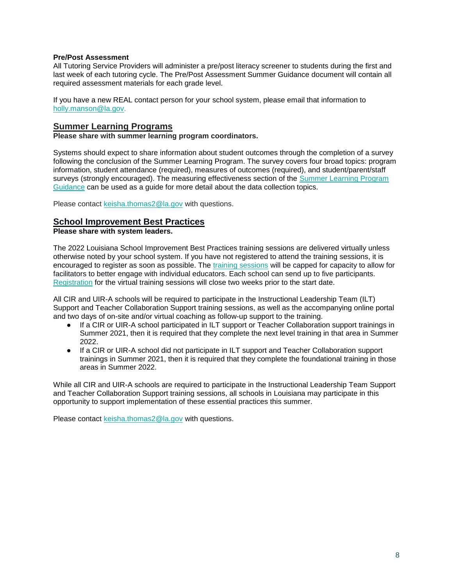#### **Pre/Post Assessment**

All Tutoring Service Providers will administer a pre/post literacy screener to students during the first and last week of each tutoring cycle. The Pre/Post Assessment Sum[mer Guidance](https://drive.google.com/file/d/1wY3o8SORcsJopqILT0F8EPOQ-53JWGMY/view?usp=sharing) document will contain all required assessment materials for each grade level.

If you have a new REAL contact person for your school system, please email that information to [holly.manson@la.gov.](mailto:holly.manson@la.gov)

### **Summer Learning Programs**

**Please share with summer learning program coordinators.**

Systems should expect to share information about student outcomes through the completion of a survey following the conclusion of the Summer Learning Program. The survey covers four broad topics: program information, student attendance (required), measures of outcomes (required), and student/parent/staff surveys (strongly encouraged). The measuring effectiveness section of the Summer Learning Program [Guidance](https://www.louisianabelieves.com/docs/default-source/academics/summer-learning-program-guidance-2021.pdf?sfvrsn=9f5a6618_2) can be used as a guide for more detail about the data collection topics.

Please contact [keisha.thomas2@la.gov](mailto:Keisha.Thomas2@la.gov) with questions.

## **School Improvement Best Practices**

### **Please share with system leaders.**

The 2022 Louisiana School Improvement Best Practices training sessions are delivered virtually unless otherwise noted by your school system. If you have not registered to attend the training sessions, it is encouraged to register as soon as possible. The [training sessions](https://www.louisianabelieves.com/docs/default-source/district-support/louisiana-best-practices---summer-2022-general-training-dates.pdf?sfvrsn=22316518_2-Summer-2022-General-Dates.pdf) will be capped for capacity to allow for facilitators to better engage with individual educators. Each school can send up to five participants. [Registration](https://na.eventscloud.com/website/38017/) for the virtual training sessions will close two weeks prior to the start date.

All CIR and UIR-A schools will be required to participate in the Instructional Leadership Team (ILT) Support and Teacher Collaboration Support training sessions, as well as the accompanying online portal and two days of on-site and/or virtual coaching as follow-up support to the training.

- If a CIR or UIR-A school participated in ILT support or Teacher Collaboration support trainings in Summer 2021, then it is required that they complete the next level training in that area in Summer 2022.
- If a CIR or UIR-A school did not participate in ILT support and Teacher Collaboration support trainings in Summer 2021, then it is required that they complete the foundational training in those areas in Summer 2022.

While all CIR and UIR-A schools are required to participate in the Instructional Leadership Team Support and Teacher Collaboration Support training sessions, all schools in Louisiana may participate in this opportunity to support implementation of these essential practices this summer.

Please contact [keisha.thomas2@la.gov](mailto:Keisha.Thomas2@la.gov) with questions.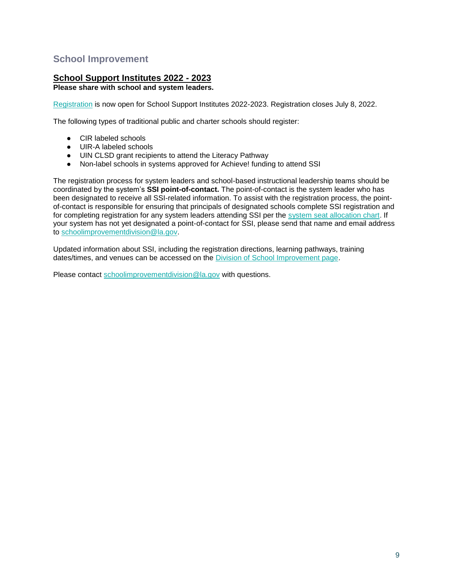## <span id="page-9-0"></span>**School Improvement**

## **School Support Institutes 2022 - 2023**

## **Please share with school and system leaders.**

[Registration](https://www.louisianabelieves.com/docs/default-source/district-support/school-support-institutes-registration.pdf?sfvrsn=1a696518_2) is now open for School Support Institutes 2022-2023. Registration closes July 8, 2022.

The following types of traditional public and charter schools should register:

- CIR labeled schools
- UIR-A labeled schools
- UIN CLSD grant recipients to attend the Literacy Pathway
- Non-label schools in systems approved for Achieve! funding to attend SSI

The registration process for system leaders and school-based instructional leadership teams should be coordinated by the system's **SSI point-of-contact.** The point-of-contact is the system leader who has been designated to receive all SSI-related information. To assist with the registration process, the pointof-contact is responsible for ensuring that principals of designated schools complete SSI registration and for completing registration for any system leaders attending SSI per the [system seat allocation chart.](https://www.louisianabelieves.com/docs/default-source/district-support/school-support-institutes-overview.pdf?sfvrsn=6f16991f_10) If your system has not yet designated a point-of-contact for SSI, please send that name and email address to [schoolimprovementdivision@la.gov.](mailto:schoolimprovementdivision@la.gov)

Updated information about SSI, including the registration directions, learning pathways, training dates/times, and venues can be accessed on the [Division of School Improvement page.](https://www.louisianabelieves.com/schools/school-improvement)

Please contact [schoolimprovementdivision@la.gov](mailto:schoolimprovementdivision@la.gov) with questions.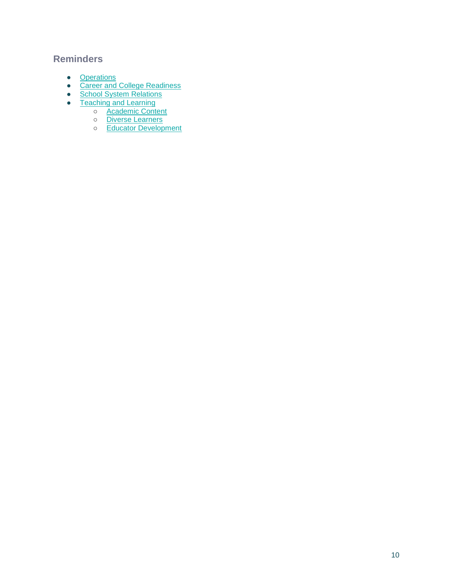## **Reminders**

- [Operations](#page-11-0)
- **[Career and College Readiness](#page-12-0)**
- [School System Relations](#page-13-0)
- [Teaching and Learning](#page-14-0)
	- o **[Academic Content](#page-14-1)**
	- o [Diverse Learners](#page-15-0)
	- [Educator Development](#page-16-0)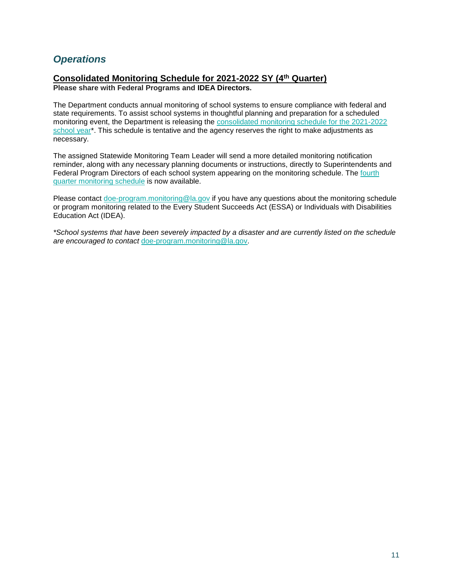## <span id="page-11-0"></span>*Operations*

## **Consolidated Monitoring Schedule for 2021-2022 SY (4th Quarter)**

**Please share with Federal Programs and IDEA Directors.**

The Department conducts annual monitoring of school systems to ensure compliance with federal and state requirements. To assist school systems in thoughtful planning and preparation for a scheduled monitoring event, the Department is releasing th[e](https://www.louisianabelieves.com/docs/default-source/links-for-newsletters/2021-2022-consolidated-monitoring-schedule_public_5-12-22.pdf) [consolidated monitoring schedule for the 2021-2022](https://www.louisianabelieves.com/docs/default-source/links-for-newsletters/2021-2022-consolidated-monitoring-schedule_public_5-12-22.pdf)  [school year\\*](https://www.louisianabelieves.com/docs/default-source/links-for-newsletters/2021-2022-consolidated-monitoring-schedule_public_5-12-22.pdf). This schedule is tentative and the agency reserves the right to make adjustments as necessary.

The assigned Statewide Monitoring Team Leader will send a more detailed monitoring notification reminder, along with any necessary planning documents or instructions, directly to Superintendents and Federal Program Directors of each school system appearing on the monitoring schedule. Th[e](https://www.louisianabelieves.com/docs/default-source/links-for-newsletters/2021-2022_4th-quarter-monitoring-schedule-only_public.pdf) [fourth](https://www.louisianabelieves.com/docs/default-source/links-for-newsletters/2021-2022_4th-quarter-monitoring-schedule-only_public.pdf)  [quarter monitoring schedule](https://www.louisianabelieves.com/docs/default-source/links-for-newsletters/2021-2022_4th-quarter-monitoring-schedule-only_public.pdf) is now available.

Please contact [doe-program.monitoring@la.gov](mailto:DOE-program.monitoring@la.gov) if you have any questions about the monitoring schedule or program monitoring related to the Every Student Succeeds Act (ESSA) or Individuals with Disabilities Education Act (IDEA).

*\*School systems that have been severely impacted by a disaster and are currently listed on the schedule are encouraged to contact* [doe-program.monitoring@la.gov.](mailto:DOE-program.monitoring@la.gov)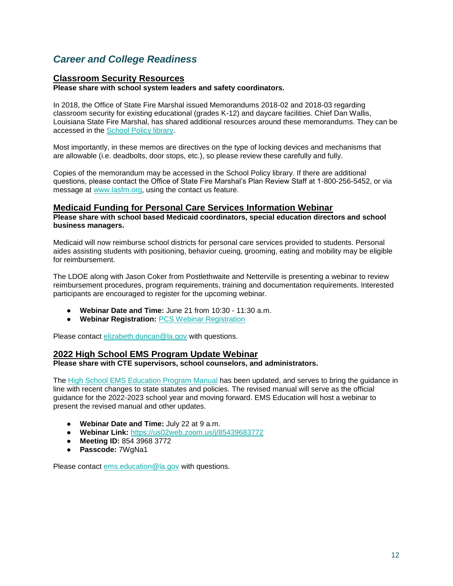## <span id="page-12-0"></span>*Career and College Readiness*

## **Classroom Security Resources**

**Please share with school system leaders and safety coordinators.**

In 2018, the Office of State Fire Marshal issued Memorandums 2018-02 and 2018-03 regarding classroom security for existing educational (grades K-12) and daycare facilities. Chief Dan Wallis, Louisiana State Fire Marshal, has shared additional resources around these memorandums. They can be accessed in the [School Policy library.](https://www.louisianabelieves.com/docs/default-source/policy/sfm-school-security-2022-memos.pdf?sfvrsn=6d696518_5/)

Most importantly, in these memos are directives on the type of locking devices and mechanisms that are allowable (i.e. deadbolts, door stops, etc.), so please review these carefully and fully.

Copies of the memorandum may be accessed in the School Policy library. If there are additional questions, please contact the Office of State Fire Marshal's Plan Review Staff at 1-800-256-5452, or via message at [www.lasfm.org,](http://www.lasfm.org/) using the contact us feature.

## **Medicaid Funding for Personal Care Services Information Webinar**

**Please share with school based Medicaid coordinators, special education directors and school business managers.**

Medicaid will now reimburse school districts for personal care services provided to students. Personal aides assisting students with positioning, behavior cueing, grooming, eating and mobility may be eligible for reimbursement.

The LDOE along with Jason Coker from Postlethwaite and Netterville is presenting a webinar to review reimbursement procedures, program requirements, training and documentation requirements. Interested participants are encouraged to register for the upcoming webinar.

- **Webinar Date and Time:** June 21 from 10:30 11:30 a.m.
- **Webinar Registration:** [PCS Webinar Registration](https://forms.gle/9q1PG4ebn9epjFuu5)

Please contact [elizabeth.duncan@la.gov](mailto:elizabeth.duncan@la.gov) with questions.

### **2022 High School EMS Program Update Webinar**

**Please share with CTE supervisors, school counselors, and administrators.**

The [High School EMS Education Program Manual](https://ldh.la.gov/assets/oph/ems/2022/220524HighSchoolEMSEdProgramGuide.pdf) has been updated, and serves to bring the guidance in line with recent changes to state statutes and policies. The revised manual will serve as the official guidance for the 2022-2023 school year and moving forward. EMS Education will host a webinar to present the revised manual and other updates.

- **Webinar Date and Time:** July 22 at 9 a.m.
- **Webinar Link:** [https://us02web.zoom.us/j/85439683772](https://us02web.zoom.us/j/85439683772?pwd=Wk53cFBPNjRJQnU5d0I3WmJERS85Zz09)
- **Meeting ID:** 854 3968 3772
- **Passcode:** 7WgNa1

Please contact [ems.education@la.gov](mailto:ems.education@la.gov) with questions.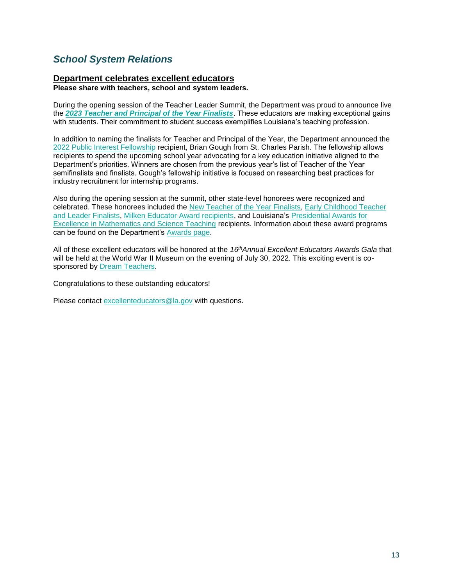## <span id="page-13-0"></span>*School System Relations*

## **Department celebrates excellent educators**

**Please share with teachers, school and system leaders.** 

During the opening session of the Teacher Leader Summit, the Department was proud to announce live the *[2023 Teacher and Principal of the Year Finalists](https://www.louisianabelieves.com/docs/default-source/awards/2023-teacher-and-principal-of-the-year-finalists.pdf)*. These educators are making exceptional gains with students. Their commitment to student success exemplifies Louisiana's teaching profession.

In addition to naming the finalists for Teacher and Principal of the Year, the Department announced the [2022 Public Interest Fellowship](https://www.louisianabelieves.com/docs/default-source/awards/public-interest-fellowship-overview.pdf?sfvrsn=8bf19c1f_2) recipient, Brian Gough from St. Charles Parish. The fellowship allows recipients to spend the upcoming school year advocating for a key education initiative aligned to the Department's priorities. Winners are chosen from the previous year's list of Teacher of the Year semifinalists and finalists. Gough's fellowship initiative is focused on researching best practices for industry recruitment for internship programs.

Also during the opening session at the summit, other state-level honorees were recognized and celebrated. These honorees included the [New Teacher of the Year Finalists,](https://www.louisianabelieves.com/docs/default-source/awards/new-teacher-of-the-year-finalists-announcement.pdf) [Early Childhood Teacher](https://www.louisianabelieves.com/academics/award-programs)  [and Leader Finalists,](https://www.louisianabelieves.com/academics/award-programs) [Milken Educator Award recipients,](https://www.milkeneducatorawards.org/) and Louisiana's [Presidential Awards for](https://www.paemst.org/)  [Excellence in Mathematics and Science Teaching](https://www.paemst.org/) recipients. Information about these award programs can be found on the Department's [Awards page.](https://www.louisianabelieves.com/academics/award-programs)

All of these excellent educators will be honored at the *16thAnnual Excellent Educators Awards Gala* that will be held at the World War II Museum on the evening of July 30, 2022. This exciting event is cosponsored by **Dream Teachers**.

Congratulations to these outstanding educators!

Please contact excellenteducators@la.gov with questions.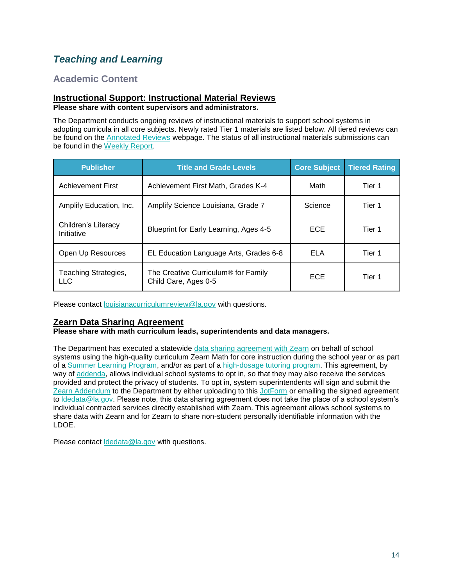# <span id="page-14-0"></span>*Teaching and Learning*

## <span id="page-14-1"></span>**Academic Content**

#### **Instructional Support: Instructional Material Reviews Please share with content supervisors and administrators.**

The Department conducts ongoing reviews of instructional materials to support school systems in adopting curricula in all core subjects. Newly rated Tier 1 materials are listed below. All tiered reviews can be found on the [Annotated Reviews](http://www.louisianabelieves.com/academics/ONLINE-INSTRUCTIONAL-MATERIALS-REVIEWS/curricular-resources-annotated-reviews) webpage. The status of all instructional materials submissions can be found in the [Weekly Report.](https://www.louisianabelieves.com/docs/default-source/curricular-resources/online-instructional-materials-reviews.pdf?sfvrsn=a26b841f_654)

| <b>Publisher</b>                  | <b>Title and Grade Levels</b>                               | <b>Core Subject</b> | <b>Tiered Rating</b> |
|-----------------------------------|-------------------------------------------------------------|---------------------|----------------------|
| <b>Achievement First</b>          | Achievement First Math, Grades K-4                          | Math                | Tier 1               |
| Amplify Education, Inc.           | Amplify Science Louisiana, Grade 7                          | Science             | Tier 1               |
| Children's Literacy<br>Initiative | Blueprint for Early Learning, Ages 4-5                      | <b>ECE</b>          | Tier 1               |
| Open Up Resources                 | EL Education Language Arts, Grades 6-8                      | <b>ELA</b>          | Tier 1               |
| Teaching Strategies,<br>LLC       | The Creative Curriculum® for Family<br>Child Care, Ages 0-5 | <b>ECE</b>          | Tier 1               |

Please contact [louisianacurriculumreview@la.gov](mailto:LouisianaCurriculumReview@la.gov) with questions.

## **Zearn Data Sharing Agreement**

### **Please share with math curriculum leads, superintendents and data managers.**

The Department has executed a statewide [data sharing agreement with Zearn](https://www.louisianabelieves.com/docs/default-source/data-management/zearn---may-2022.pdf?sfvrsn=884a6518_2) on behalf of school systems using the high-quality curriculum Zearn Math for core instruction during the school year or as part of a [Summer Learning Program,](https://www.louisianabelieves.com/docs/default-source/accelerate/accelerate-math-summer-learning-2022.pdf?sfvrsn=7f746418_18) and/or as part of a [high-dosage tutoring program.](https://www.louisianabelieves.com/docs/default-source/accelerate/accelerate-math.pdf?sfvrsn=433c6618_30) This agreement, by way of [addenda,](https://www.louisianabelieves.com/docs/default-source/data-management/zearn---addendum.docx?sfvrsn=63496518_2) allows individual school systems to opt in, so that they may also receive the services provided and protect the privacy of students. To opt in, system superintendents will sign and submit the [Zearn Addendum](https://www.louisianabelieves.com/docs/default-source/data-management/zearn---addendum.docx?sfvrsn=63496518_2) to the Department by either uploading to this [JotForm](https://form.jotform.com/221037256699160) or emailing the signed agreement to Idedata@la.gov. Please note, this data sharing agreement does not take the place of a school system's individual contracted services directly established with Zearn. This agreement allows school systems to share data with Zearn and for Zearn to share non-student personally identifiable information with the LDOE.

Please contact [ldedata@la.gov](mailto:LDEdata@la.gov) with questions.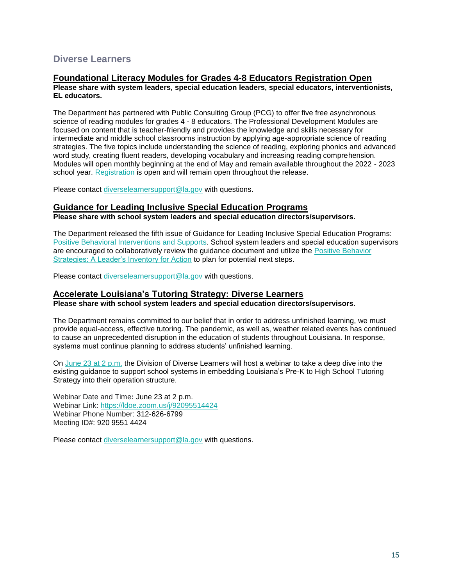## <span id="page-15-0"></span>**Diverse Learners**

## **Foundational Literacy Modules for Grades 4-8 Educators Registration Open**

**Please share with system leaders, special education leaders, special educators, interventionists, EL educators.** 

The Department has partnered with Public Consulting Group (PCG) to offer five free asynchronous science of reading modules for grades 4 - 8 educators. The Professional Development Modules are focused on content that is teacher-friendly and provides the knowledge and skills necessary for intermediate and middle school classrooms instruction by applying age-appropriate science of reading strategies. The five topics include understanding the science of reading, exploring phonics and advanced word study, creating fluent readers, developing vocabulary and increasing reading comprehension. Modules will open monthly beginning at the end of May and remain available throughout the 2022 - 2023 school year. [Registration](https://forms.office.com/pages/responsepage.aspx?id=wxCx2SVMeUO5euJIk4zBe480GuvBKj1CvXxROcKQzeNUMlI4S0tDVFhPSkVXNU5DNkJDSlhXNkFHMy4u) is open and will remain open throughout the release.

Please contact [diverselearnersupport@la.gov](mailto:diverselearnersupport@la.gov) with questions.

## **Guidance for Leading Inclusive Special Education Programs**

**Please share with school system leaders and special education directors/supervisors.**

The Department released the fifth issue of Guidance for Leading Inclusive Special Education Programs: [Positive Behavioral Interventions and Supports.](https://louisianabelieves.com/docs/default-source/students-with-disabilities/guidance-for-leading-inclusive-special-education-programs---positive-behavior-intervention-supports-(may-2022).pdf?sfvrsn=474c6518_6) School system leaders and special education supervisors are encouraged to collaboratively review the guidance document and utilize the [Positive Behavior](https://docs.google.com/document/d/1q2qNZQ2kIWVZDHd9tUWJ4YMogd_kQgPvRQRPa6GkTyo/edit)  [Strategies: A Leader's Inventory for Action](https://docs.google.com/document/d/1q2qNZQ2kIWVZDHd9tUWJ4YMogd_kQgPvRQRPa6GkTyo/edit) to plan for potential next steps.

Please contact [diverselearnersupport@la.gov](mailto:diverselearnersupport@la.gov) with questions.

#### **Accelerate Louisiana's Tutoring Strategy: Diverse Learners Please share with school system leaders and special education directors/supervisors.**

The Department remains committed to our belief that in order to address unfinished learning, we must provide equal-access, effective tutoring. The pandemic, as well as, weather related events has continued to cause an unprecedented disruption in the education of students throughout Louisiana. In response, systems must continue planning to address students' unfinished learning.

On [June 23 at 2 p.m.](https://ldoe.zoom.us/j/92095514424) the Division of Diverse Learners will host a webinar to take a deep dive into the existing guidance to support school systems in embedding Louisiana's Pre-K to High School Tutoring Strategy into their operation structure.

Webinar Date and Time**:** June 23 at 2 p.m. Webinar Link[:](https://ldoe.zoom.us/j/98516651581?pwd=RGRGTHZHQ1YwSnBKT0RRU2toSFRsdz09) https://ldoe.zoom.us/j/92095514424 Webinar Phone Number: 312-626-6799 Meeting ID#: 920 9551 4424

Please contact [diverselearnersupport@la.gov](mailto:diverselearnersupport@la.gov) with questions.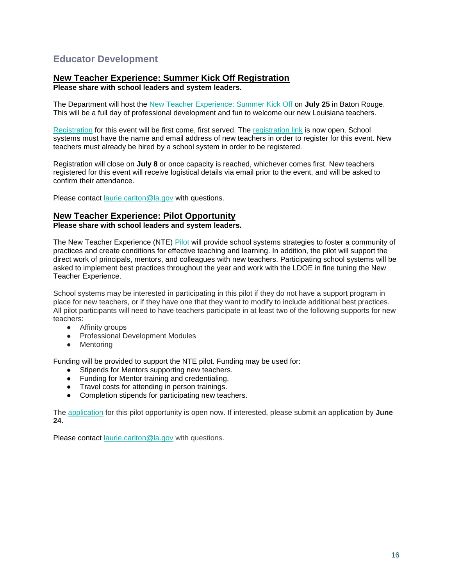## <span id="page-16-0"></span>**Educator Development**

## **New Teacher Experience: Summer Kick Off Registration**

**Please share with school leaders and system leaders.**

The Department will host the [New Teacher Experience: Summer Kick Off](https://www.louisianabelieves.com/docs/default-source/awards/new-teacher-experience-summer-kick-off.pdf?sfvrsn=fa4e6518_2) on **July 25** in Baton Rouge. This will be a full day of professional development and fun to welcome our new Louisiana teachers.

[Registration](https://docs.google.com/forms/d/e/1FAIpQLSfhekakJahgArZUUi0-BZWjbk4jKUVVmTZCiyN8cliZfIc9jg/viewform?usp=sf_link) for this event will be first come, first served. The [registration link](https://docs.google.com/forms/d/e/1FAIpQLSfhekakJahgArZUUi0-BZWjbk4jKUVVmTZCiyN8cliZfIc9jg/viewform?usp=sf_link) is now open. School systems must have the name and email address of new teachers in order to register for this event. New teachers must already be hired by a school system in order to be registered.

Registration will close on **July 8** or once capacity is reached, whichever comes first. New teachers registered for this event will receive logistical details via email prior to the event, and will be asked to confirm their attendance.

Please contact [laurie.carlton@la.gov](mailto:laurie.carlton@la.gov) with questions.

## **New Teacher Experience: Pilot Opportunity**

**Please share with school leaders and system leaders.**

The New Teacher Experience (NTE) [Pilot](https://www.louisianabelieves.com/docs/default-source/awards/new-teacher-experience-pilot-overview.pdf) will provide school systems strategies to foster a community of practices and create conditions for effective teaching and learning. In addition, the pilot will support the direct work of principals, mentors, and colleagues with new teachers. Participating school systems will be asked to implement best practices throughout the year and work with the LDOE in fine tuning the New Teacher Experience.

School systems may be interested in participating in this pilot if they do not have a support program in place for new teachers, or if they have one that they want to modify to include additional best practices. All pilot participants will need to have teachers participate in at least two of the following supports for new teachers:

- Affinity groups
- Professional Development Modules
- Mentoring

Funding will be provided to support the NTE pilot. Funding may be used for:

- Stipends for Mentors supporting new teachers.
- Funding for Mentor training and credentialing.
- Travel costs for attending in person trainings.
- Completion stipends for participating new teachers.

The [application](https://docs.google.com/forms/d/e/1FAIpQLSfXpXTbVsgATUfszGUasz8u8FmATMATAzjMi7LnLUpN-B7Eug/viewform?usp=sf_link) for this pilot opportunity is open now. If interested, please submit an application by **June 24.**

Please contact [laurie.carlton@la.gov](mailto:laurie.carlton@la.gov) with questions.